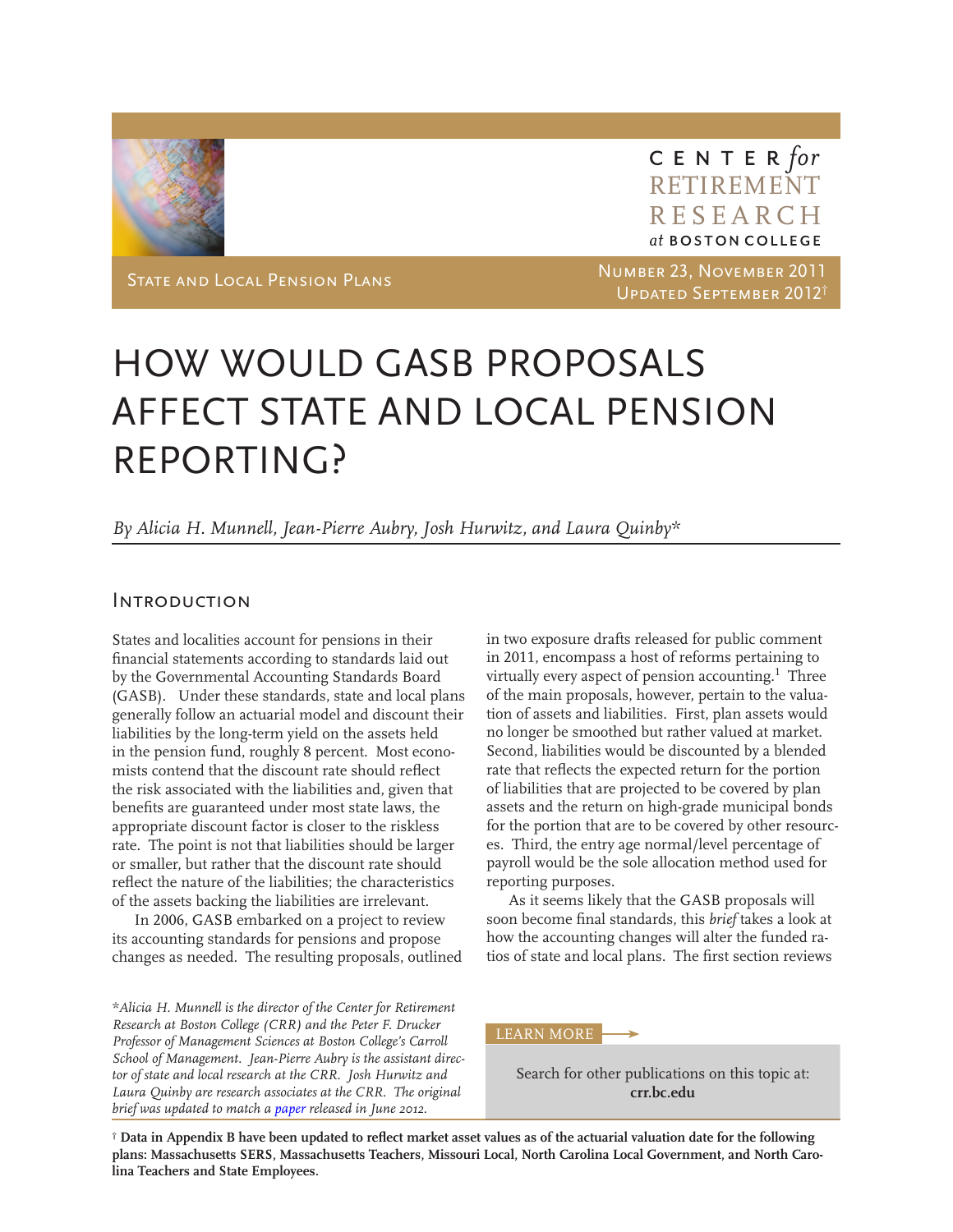

CENTER for RETIREMENT RESEARCH<br>at boston college

State and Local Pension Plans Number 23, November 2011 Updated September 2012†

## HOW WOULD GASB PROPOSALS AFFECT STATE AND LOCAL PENSION REPORTING?

*By Alicia H. Munnell, Jean-Pierre Aubry, Josh Hurwitz, and Laura Quinby\**

### **INTRODUCTION**

States and localities account for pensions in their financial statements according to standards laid out by the Governmental Accounting Standards Board (GASB). Under these standards, state and local plans generally follow an actuarial model and discount their liabilities by the long-term yield on the assets held in the pension fund, roughly 8 percent. Most economists contend that the discount rate should reflect the risk associated with the liabilities and, given that benefits are guaranteed under most state laws, the appropriate discount factor is closer to the riskless rate. The point is not that liabilities should be larger or smaller, but rather that the discount rate should reflect the nature of the liabilities; the characteristics of the assets backing the liabilities are irrelevant.

In 2006, GASB embarked on a project to review its accounting standards for pensions and propose changes as needed. The resulting proposals, outlined

*\*Alicia H. Munnell is the director of the Center for Retirement Research at Boston College (CRR) and the Peter F. Drucker Professor of Management Sciences at Boston College's Carroll School of Management. Jean-Pierre Aubry is the assistant director of state and local research at the CRR. Josh Hurwitz and Laura Quinby are research associates at the CRR. The original brief was updated to match a [paper](http://bit.ly/Ko6sXm) released in June 2012.* 

in two exposure drafts released for public comment in 2011, encompass a host of reforms pertaining to virtually every aspect of pension accounting.<sup>1</sup> Three of the main proposals, however, pertain to the valuation of assets and liabilities. First, plan assets would no longer be smoothed but rather valued at market. Second, liabilities would be discounted by a blended rate that reflects the expected return for the portion of liabilities that are projected to be covered by plan assets and the return on high-grade municipal bonds for the portion that are to be covered by other resources. Third, the entry age normal/level percentage of payroll would be the sole allocation method used for reporting purposes.

As it seems likely that the GASB proposals will soon become final standards, this *brief* takes a look at how the accounting changes will alter the funded ratios of state and local plans. The first section reviews

LEARN MORE

Search for other publications on this topic at: **crr.bc.edu**

**† Data in Appendix B have been updated to reflect market asset values as of the actuarial valuation date for the following plans: Massachusetts SERS, Massachusetts Teachers, Missouri Local, North Carolina Local Government, and North Carolina Teachers and State Employees.**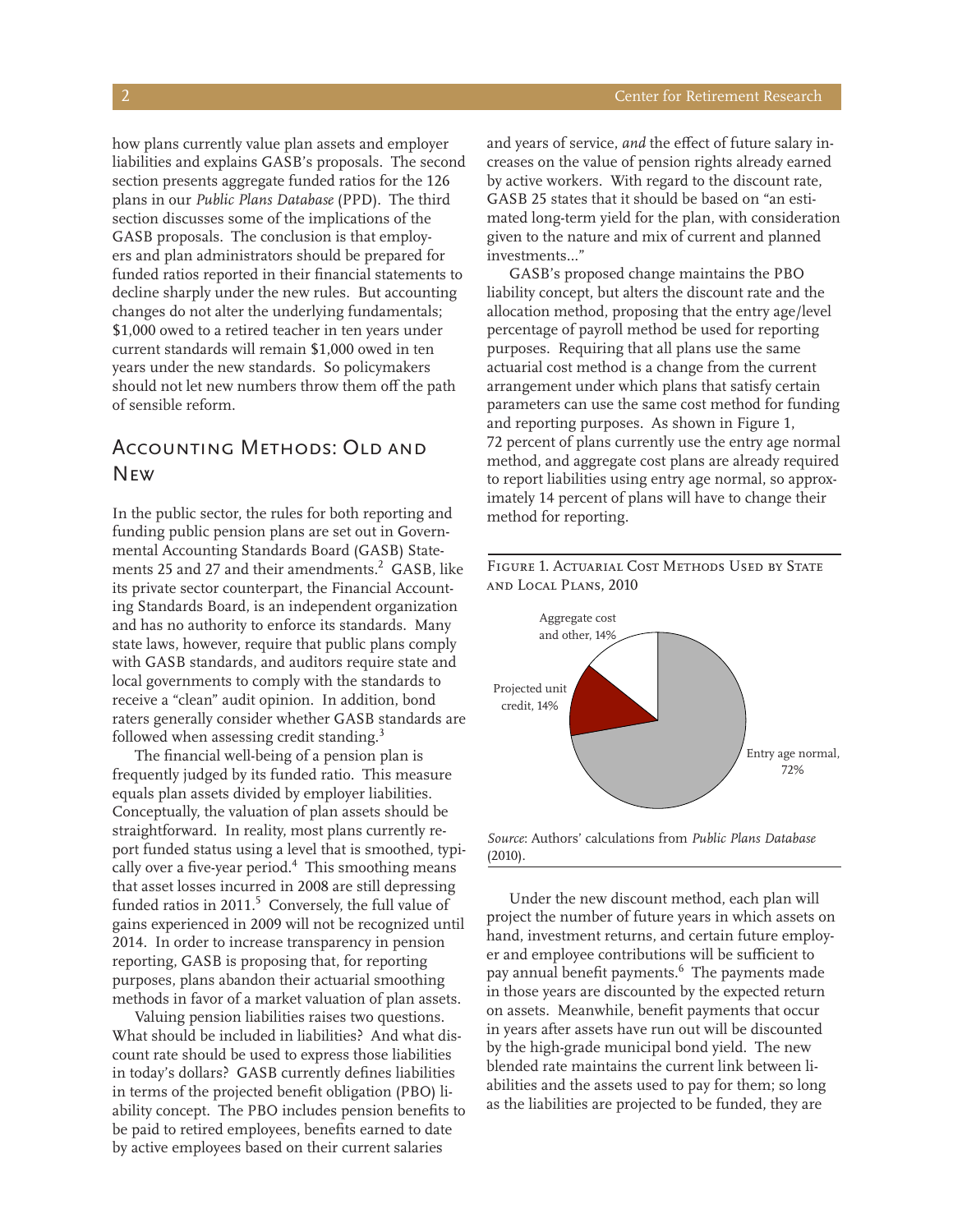how plans currently value plan assets and employer liabilities and explains GASB's proposals. The second section presents aggregate funded ratios for the 126 plans in our *Public Plans Database* (PPD). The third section discusses some of the implications of the GASB proposals. The conclusion is that employers and plan administrators should be prepared for funded ratios reported in their financial statements to decline sharply under the new rules. But accounting changes do not alter the underlying fundamentals; \$1,000 owed to a retired teacher in ten years under current standards will remain \$1,000 owed in ten years under the new standards. So policymakers should not let new numbers throw them off the path of sensible reform.

## ACCOUNTING METHODS: OLD AND **NEW**

In the public sector, the rules for both reporting and funding public pension plans are set out in Governmental Accounting Standards Board (GASB) Statements 25 and 27 and their amendments.<sup>2</sup> GASB, like its private sector counterpart, the Financial Accounting Standards Board, is an independent organization and has no authority to enforce its standards. Many state laws, however, require that public plans comply with GASB standards, and auditors require state and local governments to comply with the standards to receive a "clean" audit opinion. In addition, bond raters generally consider whether GASB standards are followed when assessing credit standing.<sup>3</sup>

The financial well-being of a pension plan is frequently judged by its funded ratio. This measure equals plan assets divided by employer liabilities. Conceptually, the valuation of plan assets should be straightforward. In reality, most plans currently report funded status using a level that is smoothed, typically over a five-year period.<sup>4</sup> This smoothing means that asset losses incurred in 2008 are still depressing funded ratios in  $2011$ .<sup>5</sup> Conversely, the full value of gains experienced in 2009 will not be recognized until 2014. In order to increase transparency in pension reporting, GASB is proposing that, for reporting purposes, plans abandon their actuarial smoothing methods in favor of a market valuation of plan assets.

Valuing pension liabilities raises two questions. What should be included in liabilities? And what discount rate should be used to express those liabilities in today's dollars? GASB currently defines liabilities in terms of the projected benefit obligation (PBO) liability concept. The PBO includes pension benefits to be paid to retired employees, benefits earned to date by active employees based on their current salaries

and years of service, *and* the effect of future salary increases on the value of pension rights already earned by active workers. With regard to the discount rate, GASB 25 states that it should be based on "an estimated long-term yield for the plan, with consideration given to the nature and mix of current and planned investments…"

GASB's proposed change maintains the PBO liability concept, but alters the discount rate and the allocation method, proposing that the entry age/level percentage of payroll method be used for reporting purposes. Requiring that all plans use the same actuarial cost method is a change from the current arrangement under which plans that satisfy certain parameters can use the same cost method for funding and reporting purposes. As shown in Figure 1, 72 percent of plans currently use the entry age normal method, and aggregate cost plans are already required to report liabilities using entry age normal, so approximately 14 percent of plans will have to change their method for reporting.





*Source*: Authors' calculations from *Public Plans Database*  (2010).

Under the new discount method, each plan will project the number of future years in which assets on hand, investment returns, and certain future employer and employee contributions will be sufficient to pay annual benefit payments.6 The payments made in those years are discounted by the expected return on assets. Meanwhile, benefit payments that occur in years after assets have run out will be discounted by the high-grade municipal bond yield. The new blended rate maintains the current link between liabilities and the assets used to pay for them; so long as the liabilities are projected to be funded, they are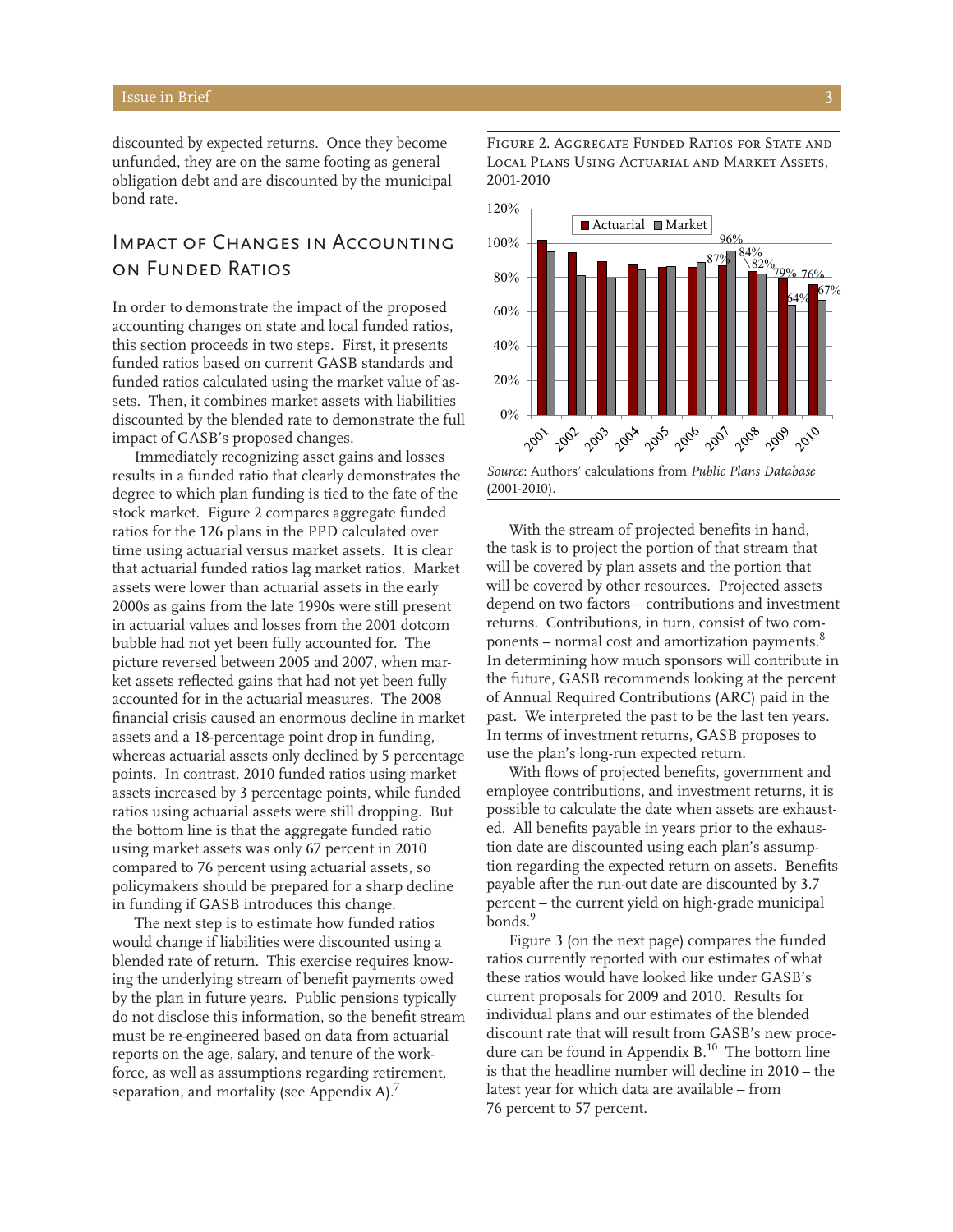discounted by expected returns. Once they become unfunded, they are on the same footing as general obligation debt and are discounted by the municipal bond rate.

## Impact of Changes in Accounting on Funded Ratios

In order to demonstrate the impact of the proposed accounting changes on state and local funded ratios, this section proceeds in two steps. First, it presents funded ratios based on current GASB standards and funded ratios calculated using the market value of assets. Then, it combines market assets with liabilities discounted by the blended rate to demonstrate the full impact of GASB's proposed changes.

Immediately recognizing asset gains and losses results in a funded ratio that clearly demonstrates the degree to which plan funding is tied to the fate of the stock market. Figure 2 compares aggregate funded ratios for the 126 plans in the PPD calculated over time using actuarial versus market assets. It is clear that actuarial funded ratios lag market ratios. Market assets were lower than actuarial assets in the early 2000s as gains from the late 1990s were still present in actuarial values and losses from the 2001 dotcom bubble had not yet been fully accounted for. The picture reversed between 2005 and 2007, when market assets reflected gains that had not yet been fully accounted for in the actuarial measures. The 2008 financial crisis caused an enormous decline in market assets and a 18-percentage point drop in funding, whereas actuarial assets only declined by 5 percentage points. In contrast, 2010 funded ratios using market assets increased by 3 percentage points, while funded ratios using actuarial assets were still dropping. But the bottom line is that the aggregate funded ratio using market assets was only 67 percent in 2010 compared to 76 percent using actuarial assets, so policymakers should be prepared for a sharp decline in funding if GASB introduces this change.

The next step is to estimate how funded ratios would change if liabilities were discounted using a blended rate of return. This exercise requires knowing the underlying stream of benefit payments owed by the plan in future years. Public pensions typically do not disclose this information, so the benefit stream must be re-engineered based on data from actuarial reports on the age, salary, and tenure of the workforce, as well as assumptions regarding retirement, separation, and mortality (see Appendix A).<sup>7</sup>

Figure 2. Aggregate Funded Ratios for State and Local Plans Using Actuarial and Market Assets, 2001-2010



*Source*: Authors' calculations from *Public Plans Database*  (2001-2010).

With the stream of projected benefits in hand, the task is to project the portion of that stream that will be covered by plan assets and the portion that will be covered by other resources. Projected assets depend on two factors – contributions and investment returns. Contributions, in turn, consist of two components – normal cost and amortization payments.<sup>8</sup> In determining how much sponsors will contribute in the future, GASB recommends looking at the percent of Annual Required Contributions (ARC) paid in the past. We interpreted the past to be the last ten years. In terms of investment returns, GASB proposes to use the plan's long-run expected return.

With flows of projected benefits, government and employee contributions, and investment returns, it is possible to calculate the date when assets are exhausted. All benefits payable in years prior to the exhaustion date are discounted using each plan's assumption regarding the expected return on assets. Benefits payable after the run-out date are discounted by 3.7 percent – the current yield on high-grade municipal bonds.<sup>9</sup>

Figure 3 (on the next page) compares the funded ratios currently reported with our estimates of what these ratios would have looked like under GASB's current proposals for 2009 and 2010. Results for individual plans and our estimates of the blended discount rate that will result from GASB's new procedure can be found in Appendix  $\mathrm{B.^{10}}$  The bottom line is that the headline number will decline in 2010 – the latest year for which data are available – from 76 percent to 57 percent.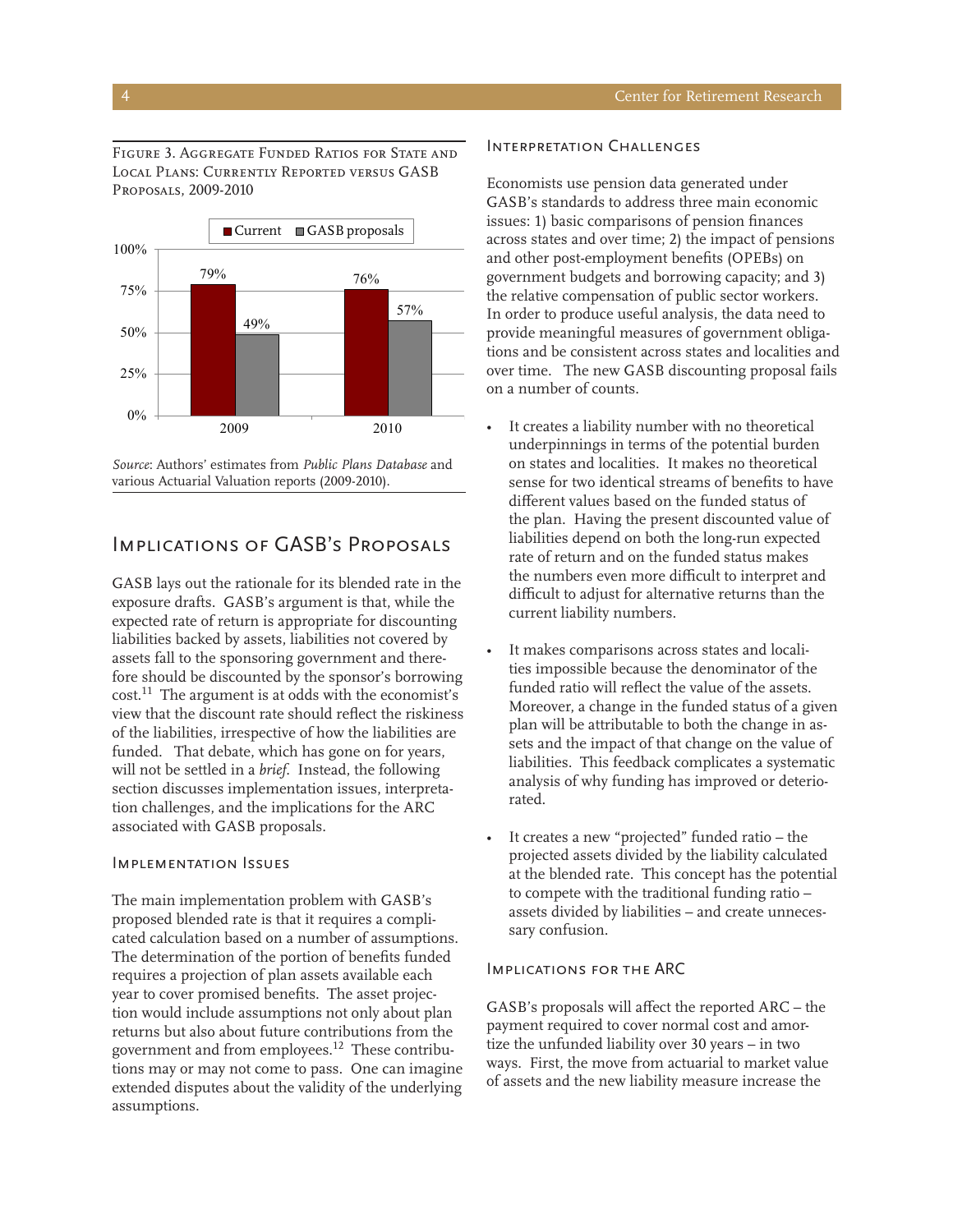Figure 3. Aggregate Funded Ratios for State and Local Plans: Currently Reported versus GASB Proposals, 2009-2010



*Source*: Authors' estimates from *Public Plans Database* and various Actuarial Valuation reports (2009-2010).

### Implications of GASB's Proposals

GASB lays out the rationale for its blended rate in the exposure drafts. GASB's argument is that, while the expected rate of return is appropriate for discounting liabilities backed by assets, liabilities not covered by assets fall to the sponsoring government and therefore should be discounted by the sponsor's borrowing cost.11 The argument is at odds with the economist's view that the discount rate should reflect the riskiness of the liabilities, irrespective of how the liabilities are funded. That debate, which has gone on for years, will not be settled in a *brief*. Instead, the following section discusses implementation issues, interpretation challenges, and the implications for the ARC associated with GASB proposals.

### Implementation Issues

The main implementation problem with GASB's proposed blended rate is that it requires a complicated calculation based on a number of assumptions. The determination of the portion of benefits funded requires a projection of plan assets available each year to cover promised benefits. The asset projection would include assumptions not only about plan returns but also about future contributions from the government and from employees.12 These contributions may or may not come to pass. One can imagine extended disputes about the validity of the underlying assumptions.

### Interpretation Challenges

Economists use pension data generated under GASB's standards to address three main economic issues: 1) basic comparisons of pension finances across states and over time; 2) the impact of pensions and other post-employment benefits (OPEBs) on government budgets and borrowing capacity; and 3) the relative compensation of public sector workers. In order to produce useful analysis, the data need to provide meaningful measures of government obligations and be consistent across states and localities and over time. The new GASB discounting proposal fails on a number of counts.

- It creates a liability number with no theoretical underpinnings in terms of the potential burden on states and localities. It makes no theoretical sense for two identical streams of benefits to have different values based on the funded status of the plan. Having the present discounted value of liabilities depend on both the long-run expected rate of return and on the funded status makes the numbers even more difficult to interpret and difficult to adjust for alternative returns than the current liability numbers.
- It makes comparisons across states and localities impossible because the denominator of the funded ratio will reflect the value of the assets. Moreover, a change in the funded status of a given plan will be attributable to both the change in assets and the impact of that change on the value of liabilities. This feedback complicates a systematic analysis of why funding has improved or deteriorated.
- It creates a new "projected" funded ratio the projected assets divided by the liability calculated at the blended rate. This concept has the potential to compete with the traditional funding ratio – assets divided by liabilities – and create unnecessary confusion.

### Implications for the ARC

GASB's proposals will affect the reported ARC – the payment required to cover normal cost and amortize the unfunded liability over 30 years – in two ways. First, the move from actuarial to market value of assets and the new liability measure increase the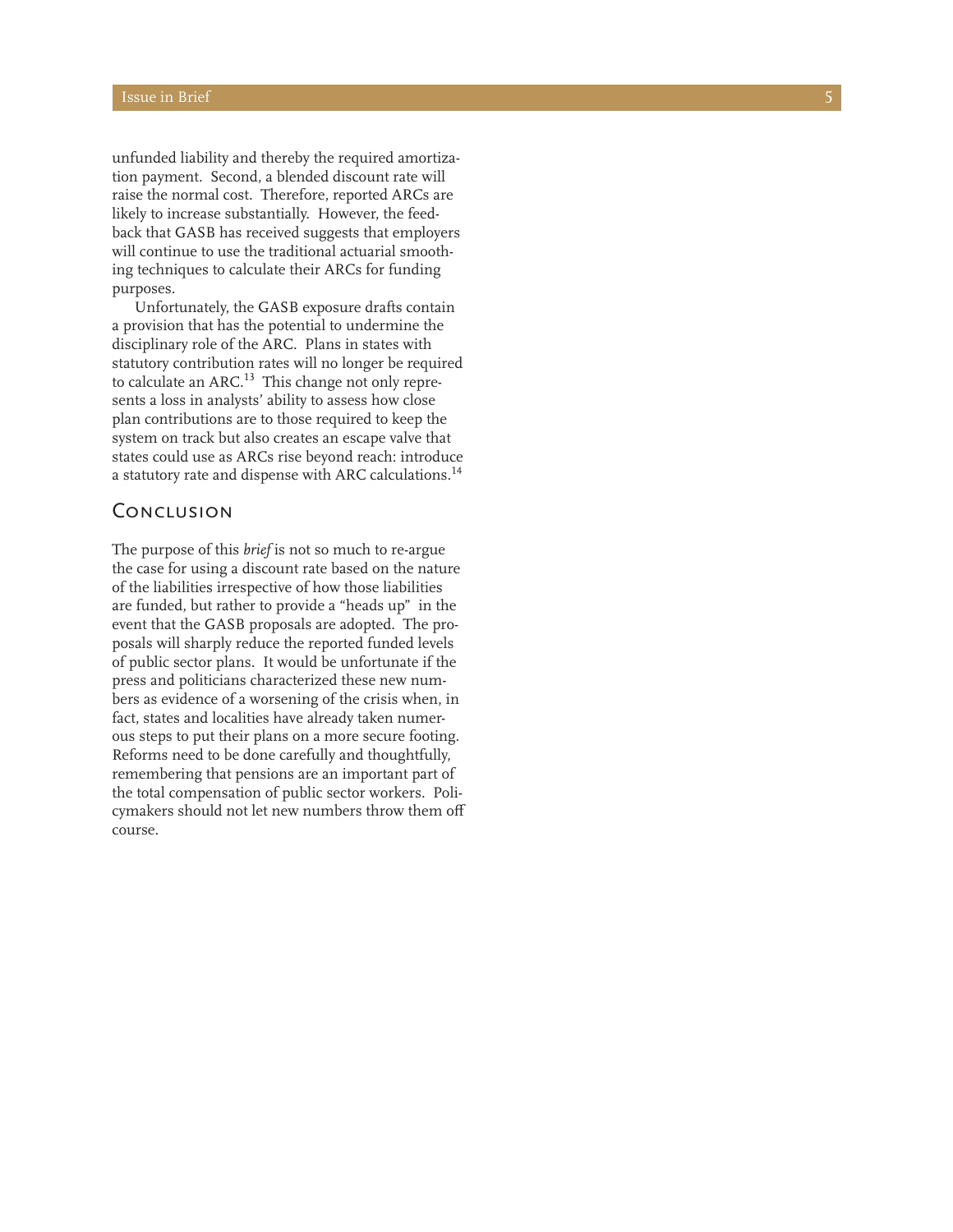unfunded liability and thereby the required amortiza tion payment. Second, a blended discount rate will raise the normal cost. Therefore, reported ARCs are likely to increase substantially. However, the feed back that GASB has received suggests that employers will continue to use the traditional actuarial smooth ing techniques to calculate their ARCs for funding purposes.

Unfortunately, the GASB exposure drafts contain a provision that has the potential to undermine the disciplinary role of the ARC. Plans in states with statutory contribution rates will no longer be required to calculate an ARC.<sup>13</sup> This change not only represents a loss in analysts' ability to assess how close plan contributions are to those required to keep the system on track but also creates an escape valve that states could use as ARCs rise beyond reach: introduce a statutory rate and dispense with ARC calculations.14

### **CONCLUSION**

The purpose of this *brief* is not so much to re-argue the case for using a discount rate based on the nature of the liabilities irrespective of how those liabilities are funded, but rather to provide a "heads up" in the event that the GASB proposals are adopted. The pro posals will sharply reduce the reported funded levels of public sector plans. It would be unfortunate if the press and politicians characterized these new num bers as evidence of a worsening of the crisis when, in fact, states and localities have already taken numerous steps to put their plans on a more secure footing. Reforms need to be done carefully and thoughtfully, remembering that pensions are an important part of the total compensation of public sector workers. Poli cymakers should not let new numbers throw them off course.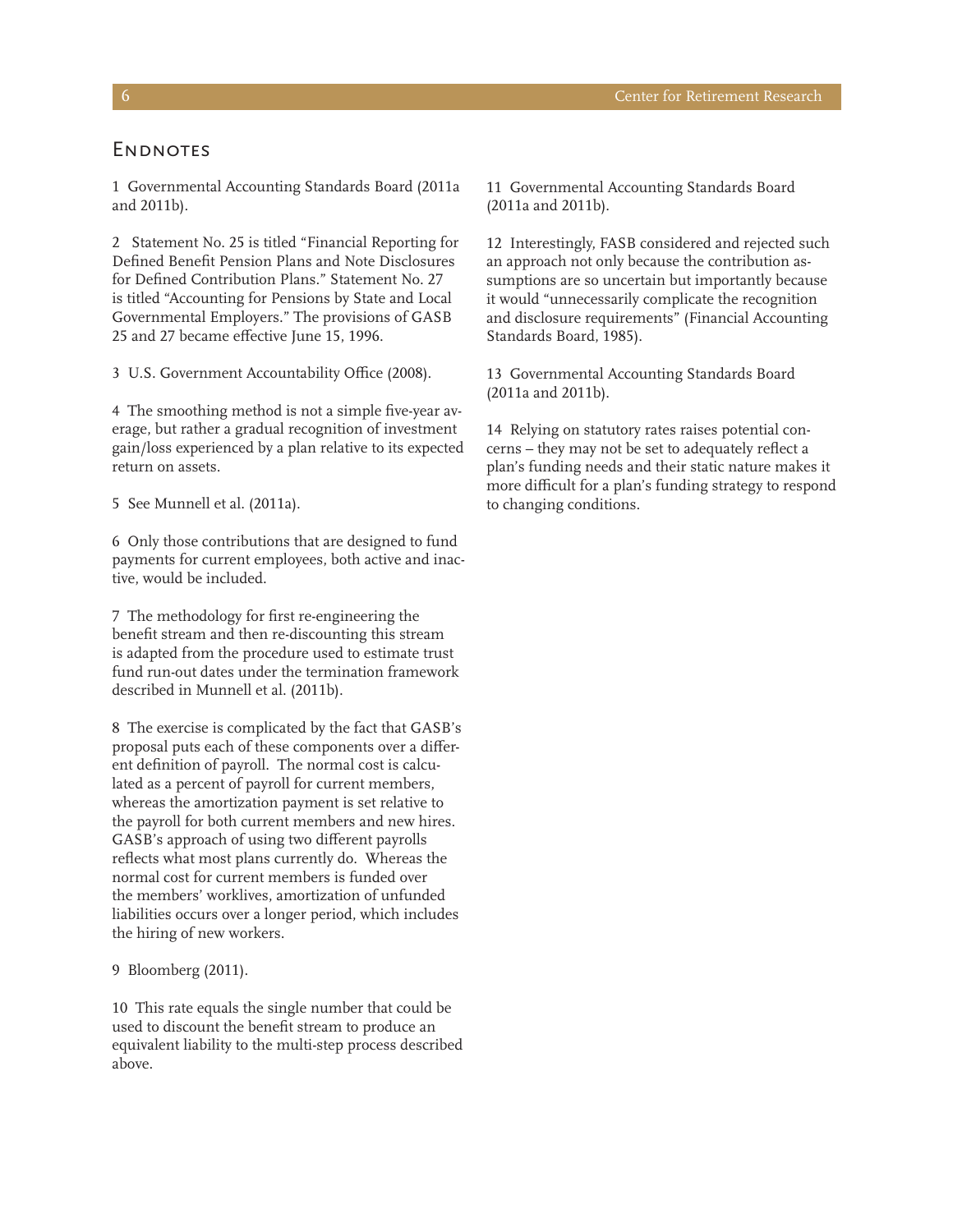### **ENDNOTES**

1 Governmental Accounting Standards Board (2011a and 2011b).

2 Statement No. 25 is titled "Financial Reporting for Defined Benefit Pension Plans and Note Disclosures for Defined Contribution Plans." Statement No. 27 is titled "Accounting for Pensions by State and Local Governmental Employers." The provisions of GASB 25 and 27 became effective June 15, 1996.

3 U.S. Government Accountability Office (2008).

4 The smoothing method is not a simple five-year average, but rather a gradual recognition of investment gain/loss experienced by a plan relative to its expected return on assets.

5 See Munnell et al. (2011a).

6 Only those contributions that are designed to fund payments for current employees, both active and inactive, would be included.

7 The methodology for first re-engineering the benefit stream and then re-discounting this stream is adapted from the procedure used to estimate trust fund run-out dates under the termination framework described in Munnell et al. (2011b).

8 The exercise is complicated by the fact that GASB's proposal puts each of these components over a different definition of payroll. The normal cost is calculated as a percent of payroll for current members, whereas the amortization payment is set relative to the payroll for both current members and new hires. GASB's approach of using two different payrolls reflects what most plans currently do. Whereas the normal cost for current members is funded over the members' worklives, amortization of unfunded liabilities occurs over a longer period, which includes the hiring of new workers.

### 9 Bloomberg (2011).

10 This rate equals the single number that could be used to discount the benefit stream to produce an equivalent liability to the multi-step process described above.

11 Governmental Accounting Standards Board (2011a and 2011b).

12 Interestingly, FASB considered and rejected such an approach not only because the contribution assumptions are so uncertain but importantly because it would "unnecessarily complicate the recognition and disclosure requirements" (Financial Accounting Standards Board, 1985).

13 Governmental Accounting Standards Board (2011a and 2011b).

14 Relying on statutory rates raises potential concerns – they may not be set to adequately reflect a plan's funding needs and their static nature makes it more difficult for a plan's funding strategy to respond to changing conditions.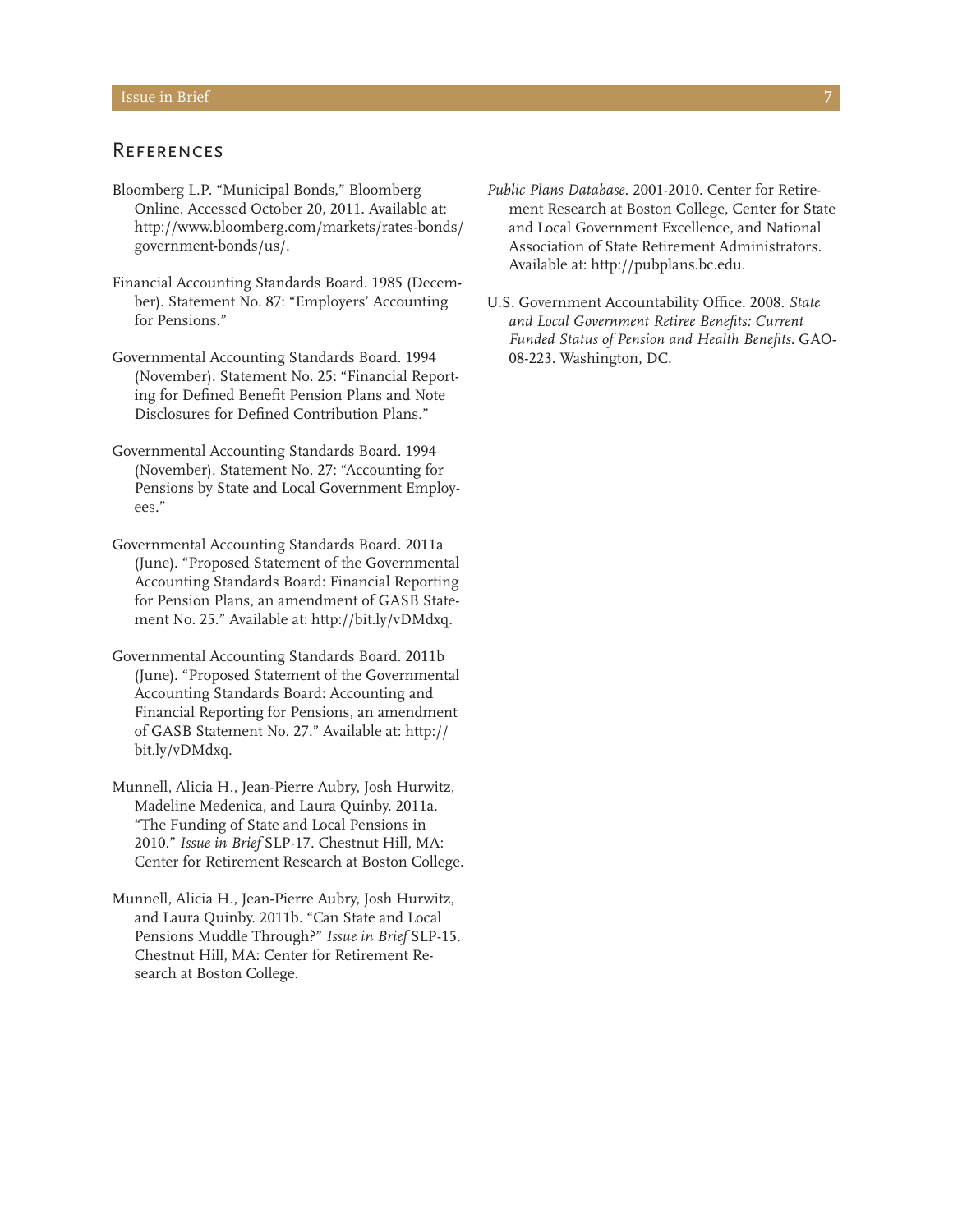### **REFERENCES**

- Bloomberg L.P. "Municipal Bonds," Bloomberg Online. Accessed October 20, 2011. Available at: http://www.bloomberg.com/markets/rates-bonds/ government-bonds/us/.
- Financial Accounting Standards Board. 1985 (December). Statement No. 87: "Employers' Accounting for Pensions."
- Governmental Accounting Standards Board. 1994 (November). Statement No. 25: "Financial Reporting for Defined Benefit Pension Plans and Note Disclosures for Defined Contribution Plans."
- Governmental Accounting Standards Board. 1994 (November). Statement No. 27: "Accounting for Pensions by State and Local Government Employees."
- Governmental Accounting Standards Board. 2011a (June). "Proposed Statement of the Governmental Accounting Standards Board: Financial Reporting for Pension Plans, an amendment of GASB Statement No. 25." Available at: http://bit.ly/vDMdxq.
- Governmental Accounting Standards Board. 2011b (June). "Proposed Statement of the Governmental Accounting Standards Board: Accounting and Financial Reporting for Pensions, an amendment of GASB Statement No. 27." Available at: http:// bit.ly/vDMdxq.
- Munnell, Alicia H., Jean-Pierre Aubry, Josh Hurwitz, Madeline Medenica, and Laura Quinby. 2011a. "The Funding of State and Local Pensions in 2010." *Issue in Brief* SLP-17. Chestnut Hill, MA: Center for Retirement Research at Boston College.
- Munnell, Alicia H., Jean-Pierre Aubry, Josh Hurwitz, and Laura Quinby. 2011b. "Can State and Local Pensions Muddle Through?" *Issue in Brief* SLP-15. Chestnut Hill, MA: Center for Retirement Research at Boston College.
- *Public Plans Database*. 2001-2010. Center for Retirement Research at Boston College, Center for State and Local Government Excellence, and National Association of State Retirement Administrators.
- U.S. Government Accountability Office. 2008. *State and Local Government Retiree Benefits: Current Funded Status of Pension and Health Benefits*. GAO-08-223. Washington, DC.

Available at: http://pubplans.bc.edu.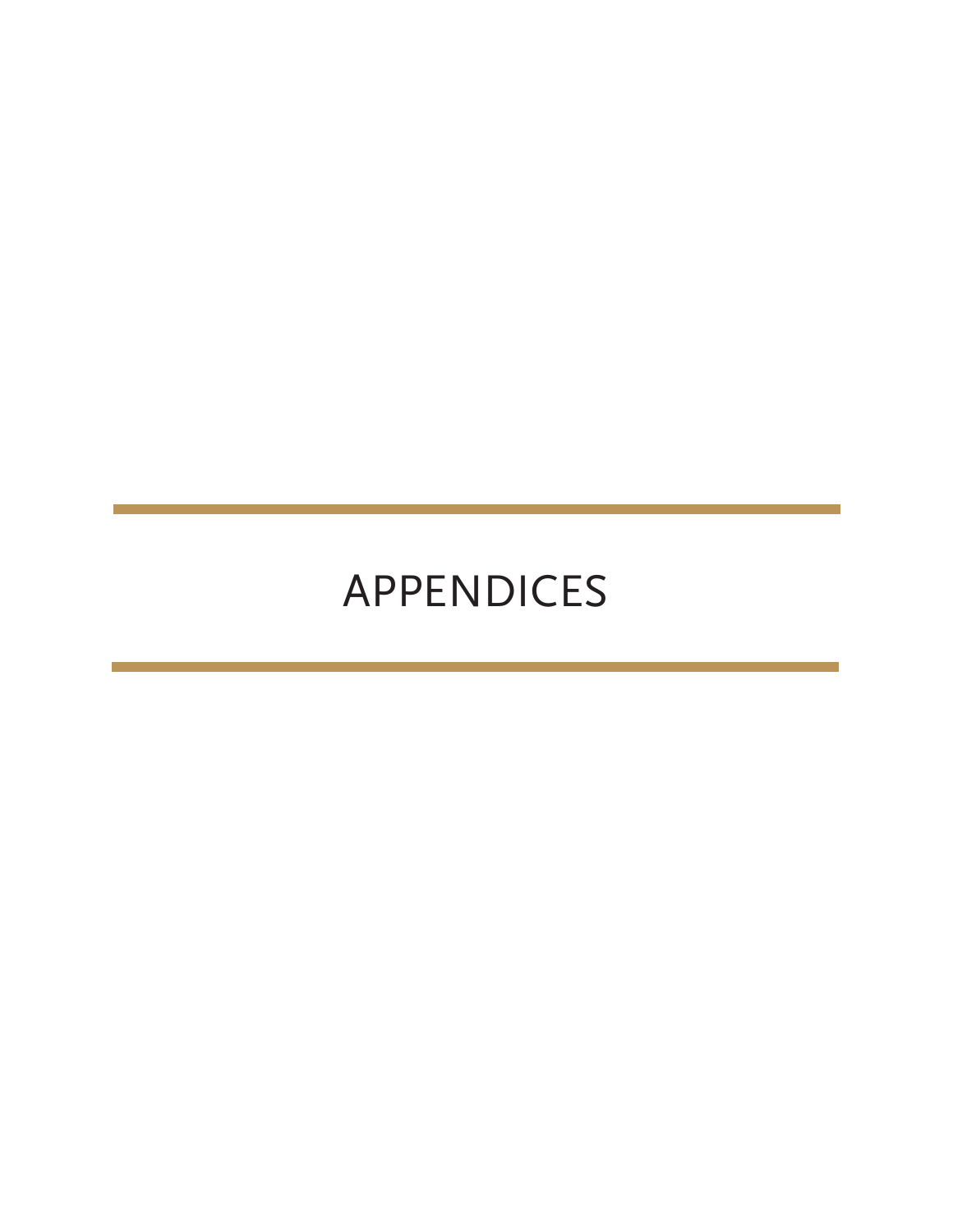# APPENDICES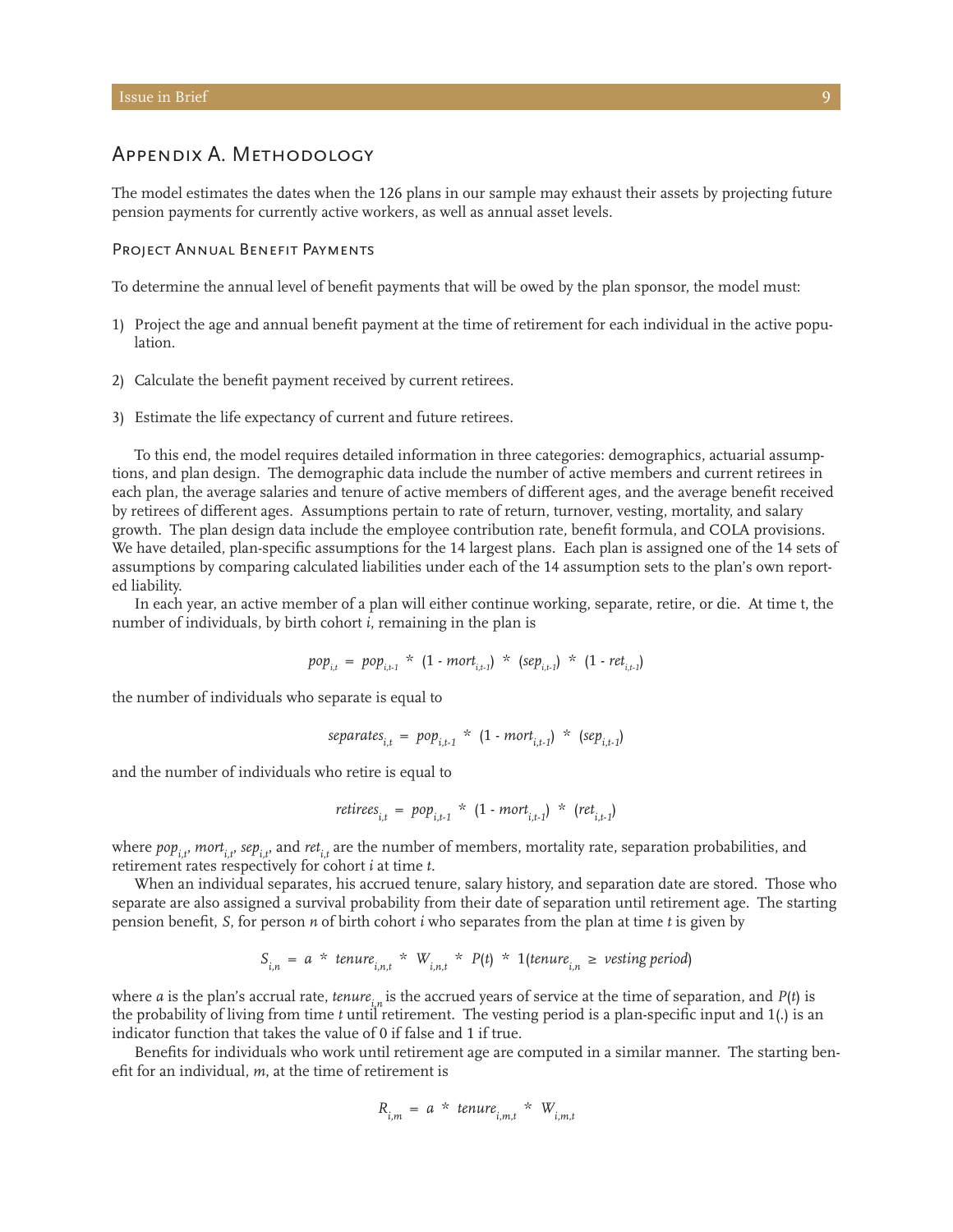### Appendix A. Methodology

The model estimates the dates when the 126 plans in our sample may exhaust their assets by projecting future pension payments for currently active workers, as well as annual asset levels.

### PROJECT ANNUAL BENEFIT PAYMENTS

To determine the annual level of benefit payments that will be owed by the plan sponsor, the model must:

- 1) Project the age and annual benefit payment at the time of retirement for each individual in the active population.
- 2) Calculate the benefit payment received by current retirees.
- 3) Estimate the life expectancy of current and future retirees.

To this end, the model requires detailed information in three categories: demographics, actuarial assumptions, and plan design. The demographic data include the number of active members and current retirees in each plan, the average salaries and tenure of active members of different ages, and the average benefit received by retirees of different ages. Assumptions pertain to rate of return, turnover, vesting, mortality, and salary growth. The plan design data include the employee contribution rate, benefit formula, and COLA provisions. We have detailed, plan-specific assumptions for the 14 largest plans. Each plan is assigned one of the 14 sets of assumptions by comparing calculated liabilities under each of the 14 assumption sets to the plan's own reported liability.

In each year, an active member of a plan will either continue working, separate, retire, or die. At time t, the number of individuals, by birth cohort *i*, remaining in the plan is

$$
pop_{i,t} = pop_{i,t-1} * (1 \cdot mort_{i,t-1}) * (sep_{i,t-1}) * (1 \cdot ret_{i,t-1})
$$

the number of individuals who separate is equal to

*separatesi,t* = *popi,t-1* \* (1 - *morti,t-1*) \* (*sepi,t-1*)

and the number of individuals who retire is equal to

*retireesi,t* = *popi,t-1* \* (1 - *morti,t-1*) \* (*reti,t-1*)

where *pop<sub>it</sub>*, *mort<sub>it</sub>*, *sep<sub>it</sub>*, and *ret<sub>it</sub>* are the number of members, mortality rate, separation probabilities, and retirement rates respectively for cohort *i* at time *t*.

When an individual separates, his accrued tenure, salary history, and separation date are stored. Those who separate are also assigned a survival probability from their date of separation until retirement age. The starting pension benefit, *S*, for person *n* of birth cohort *i* who separates from the plan at time *t* is given by

$$
S_{i,n} = a * t_{\text{enure}_{i,n,t}} * W_{i,n,t} * P(t) * 1(t_{\text{enure}_{i,n}} \geq \text{vesting period})
$$

where *a* is the plan's accrual rate, *tenure*, is the accrued years of service at the time of separation, and  $P(t)$  is the probability of living from time *t* until retirement. The vesting period is a plan-specific input and 1(.) is an indicator function that takes the value of 0 if false and 1 if true.

Benefits for individuals who work until retirement age are computed in a similar manner. The starting benefit for an individual, *m*, at the time of retirement is

$$
R_{i,m} = a * t_{\text{enure}_{i,m,t}} * W_{i,m,t}
$$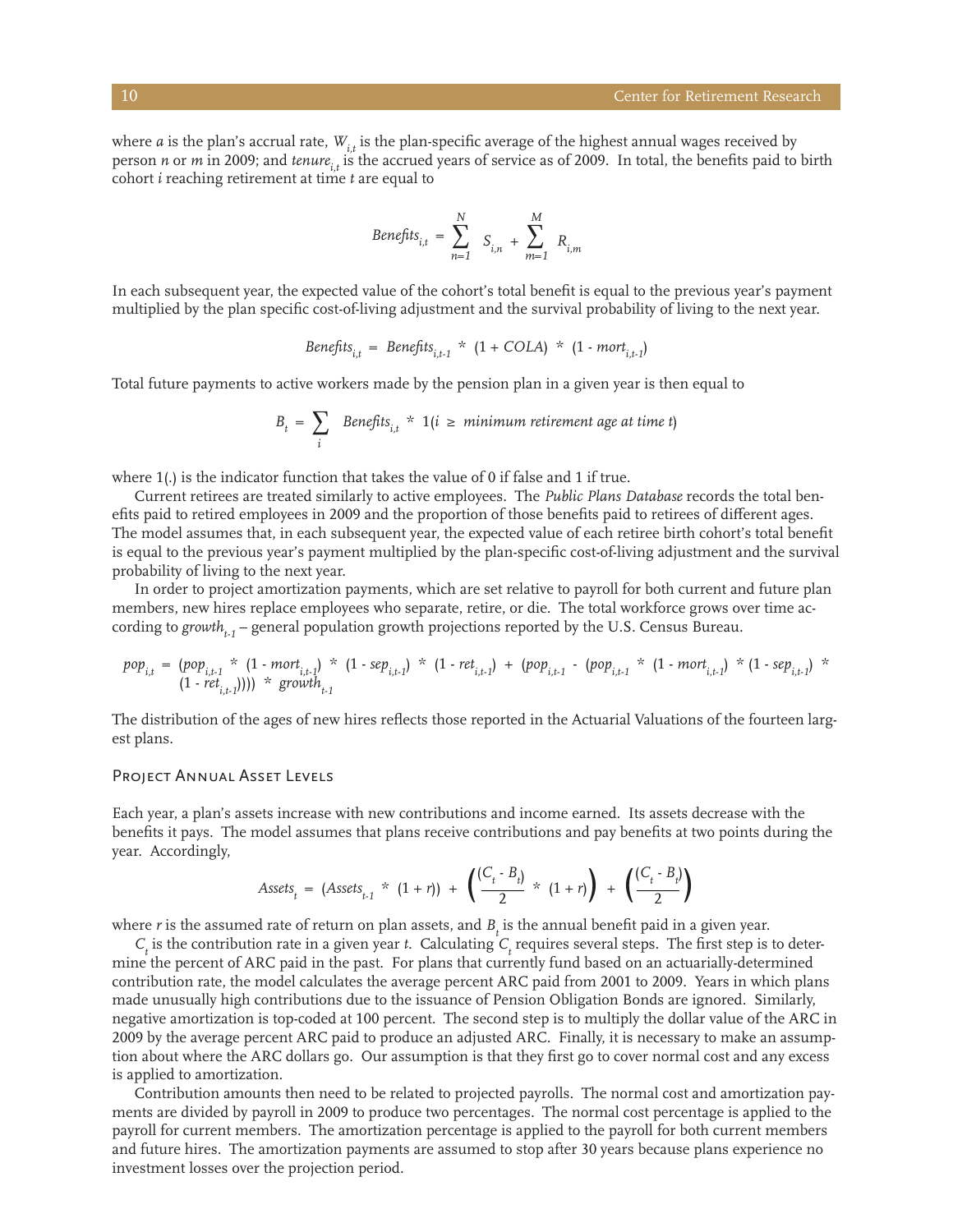where  $a$  is the plan's accrual rate,  $W_{i,t}$  is the plan-specific average of the highest annual wages received by person *n* or *m* in 2009; and *tenure*<sub>it</sub> is the accrued years of service as of 2009. In total, the benefits paid to birth cohort *i* reaching retirement at time *t* are equal to

Beneftts<sub>i,t</sub> = 
$$
\sum_{n=1}^{N} S_{i,n} + \sum_{m=1}^{M} R_{i,m}
$$

In each subsequent year, the expected value of the cohort's total benefit is equal to the previous year's payment multiplied by the plan specific cost-of-living adjustment and the survival probability of living to the next year.

Benefits<sub>i,t</sub> = Benefits<sub>i,t-1</sub> \* 
$$
(1 + COLA)
$$
 \*  $(1 - mort_{i,t-1})$ 

Total future payments to active workers made by the pension plan in a given year is then equal to

$$
B_t = \sum_i \quad \text{Benefits}_{i,t} \; * \; 1(i \ge \text{minimum retirement age at time t})
$$

where 1(.) is the indicator function that takes the value of 0 if false and 1 if true.

Current retirees are treated similarly to active employees. The *Public Plans Database* records the total benefits paid to retired employees in 2009 and the proportion of those benefits paid to retirees of different ages. The model assumes that, in each subsequent year, the expected value of each retiree birth cohort's total benefit is equal to the previous year's payment multiplied by the plan-specific cost-of-living adjustment and the survival probability of living to the next year.

In order to project amortization payments, which are set relative to payroll for both current and future plan members, new hires replace employees who separate, retire, or die. The total workforce grows over time according to growth<sub> $t_{1}$ </sub> – general population growth projections reported by the U.S. Census Bureau.

$$
pop_{i,t} = (pop_{i,t-1} * (1 - mort_{i,t-1})) * (1 - sep_{i,t-1}) * (1 - ret_{i,t-1}) + (pop_{i,t-1} - (pop_{i,t-1} * (1 - mort_{i,t-1})) * (1 - sep_{i,t-1}))
$$

The distribution of the ages of new hires reflects those reported in the Actuarial Valuations of the fourteen largest plans.

### Project Annual Asset Levels

Each year, a plan's assets increase with new contributions and income earned. Its assets decrease with the benefits it pays. The model assumes that plans receive contributions and pay benefits at two points during the year. Accordingly,

$$
Assets_{t} = (Assets_{t-1} \times (1+r)) + \left( \frac{(C_{t} - B_{t})}{2} \times (1+r) \right) + \left( \frac{(C_{t} - B_{t})}{2} \right)
$$

where *r* is the assumed rate of return on plan assets, and  $B_t$  is the annual benefit paid in a given year.

 $C_t$  is the contribution rate in a given year *t*. Calculating  $C_t$  requires several steps. The first step is to determine the percent of ARC paid in the past. For plans that currently fund based on an actuarially-determined contribution rate, the model calculates the average percent ARC paid from 2001 to 2009. Years in which plans made unusually high contributions due to the issuance of Pension Obligation Bonds are ignored. Similarly, negative amortization is top-coded at 100 percent. The second step is to multiply the dollar value of the ARC in 2009 by the average percent ARC paid to produce an adjusted ARC. Finally, it is necessary to make an assumption about where the ARC dollars go. Our assumption is that they first go to cover normal cost and any excess is applied to amortization.

Contribution amounts then need to be related to projected payrolls. The normal cost and amortization payments are divided by payroll in 2009 to produce two percentages. The normal cost percentage is applied to the payroll for current members. The amortization percentage is applied to the payroll for both current members and future hires. The amortization payments are assumed to stop after 30 years because plans experience no investment losses over the projection period.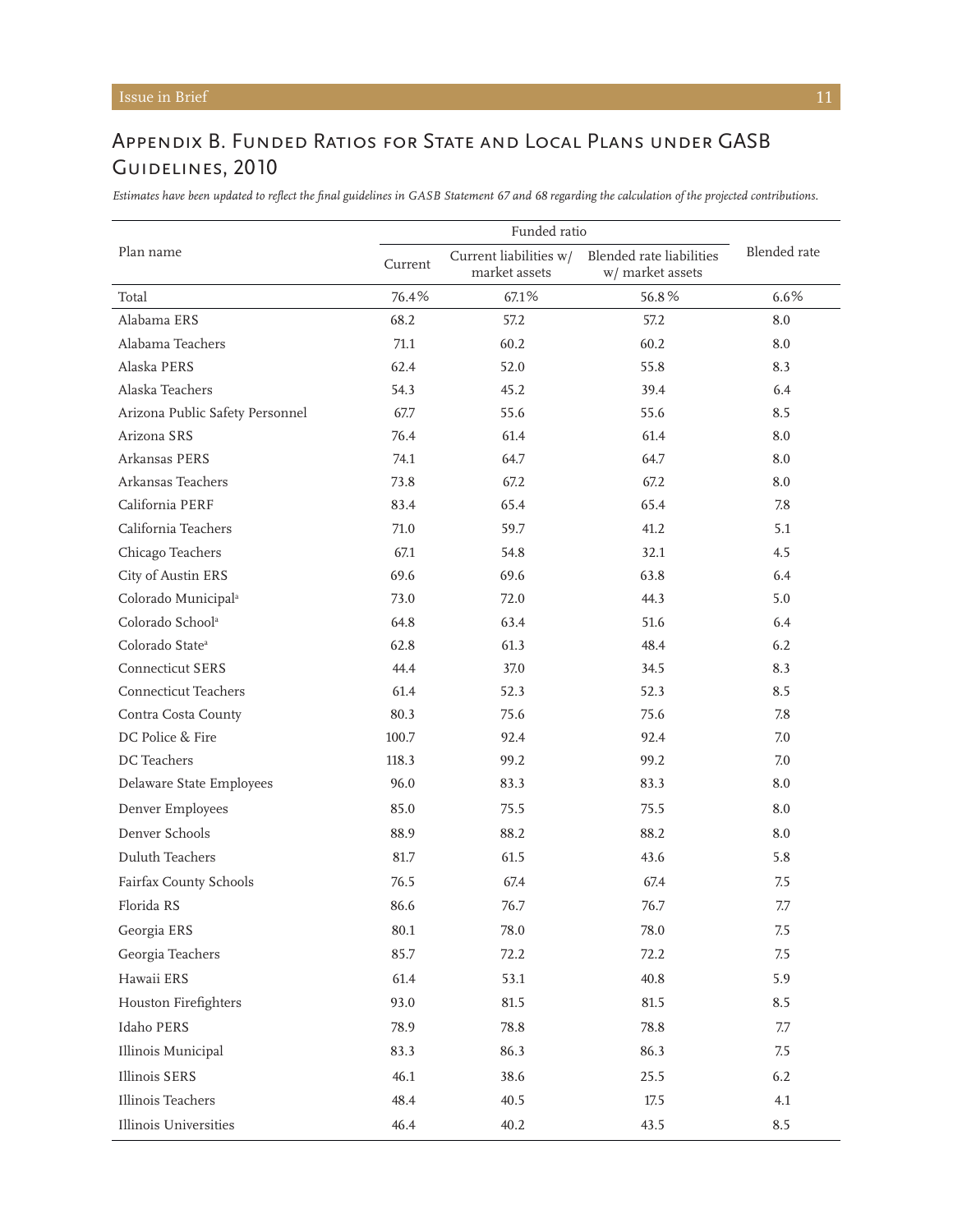## Appendix B. Funded Ratios for State and Local Plans under GASB Guidelines, 2010

*Estimates have been updated to reflect the final guidelines in GASB Statement 67 and 68 regarding the calculation of the projected contributions.*

|                                 | Funded ratio |                                         |                                              |              |
|---------------------------------|--------------|-----------------------------------------|----------------------------------------------|--------------|
| Plan name                       | Current      | Current liabilities w/<br>market assets | Blended rate liabilities<br>w/ market assets | Blended rate |
| Total                           | 76.4%        | 67.1%                                   | 56.8%                                        | 6.6%         |
| Alabama ERS                     | 68.2         | 57.2                                    | 57.2                                         | 8.0          |
| Alabama Teachers                | 71.1         | 60.2                                    | 60.2                                         | 8.0          |
| Alaska PERS                     | 62.4         | 52.0                                    | 55.8                                         | 8.3          |
| Alaska Teachers                 | 54.3         | 45.2                                    | 39.4                                         | 6.4          |
| Arizona Public Safety Personnel | 67.7         | 55.6                                    | 55.6                                         | 8.5          |
| Arizona SRS                     | 76.4         | 61.4                                    | 61.4                                         | 8.0          |
| Arkansas PERS                   | 74.1         | 64.7                                    | 64.7                                         | 8.0          |
| Arkansas Teachers               | 73.8         | 67.2                                    | 67.2                                         | 8.0          |
| California PERF                 | 83.4         | 65.4                                    | 65.4                                         | 7.8          |
| California Teachers             | 71.0         | 59.7                                    | 41.2                                         | 5.1          |
| Chicago Teachers                | 67.1         | 54.8                                    | 32.1                                         | 4.5          |
| City of Austin ERS              | 69.6         | 69.6                                    | 63.8                                         | 6.4          |
| Colorado Municipal <sup>a</sup> | 73.0         | 72.0                                    | 44.3                                         | 5.0          |
| Colorado School <sup>a</sup>    | 64.8         | 63.4                                    | 51.6                                         | 6.4          |
| Colorado State <sup>a</sup>     | 62.8         | 61.3                                    | 48.4                                         | 6.2          |
| <b>Connecticut SERS</b>         | 44.4         | 37.0                                    | 34.5                                         | 8.3          |
| <b>Connecticut Teachers</b>     | 61.4         | 52.3                                    | 52.3                                         | 8.5          |
| Contra Costa County             | 80.3         | 75.6                                    | 75.6                                         | 7.8          |
| DC Police & Fire                | 100.7        | 92.4                                    | 92.4                                         | 7.0          |
| DC Teachers                     | 118.3        | 99.2                                    | 99.2                                         | 7.0          |
| Delaware State Employees        | 96.0         | 83.3                                    | 83.3                                         | 8.0          |
| Denver Employees                | 85.0         | 75.5                                    | 75.5                                         | 8.0          |
| Denver Schools                  | 88.9         | 88.2                                    | 88.2                                         | 8.0          |
| Duluth Teachers                 | 81.7         | 61.5                                    | 43.6                                         | 5.8          |
| Fairfax County Schools          | 76.5         | 67.4                                    | 67.4                                         | 7.5          |
| Florida RS                      | 86.6         | 76.7                                    | 76.7                                         | 7.7          |
| Georgia ERS                     | 80.1         | 78.0                                    | 78.0                                         | 7.5          |
| Georgia Teachers                | 85.7         | 72.2                                    | 72.2                                         | 7.5          |
| Hawaii ERS                      | 61.4         | 53.1                                    | 40.8                                         | 5.9          |
| Houston Firefighters            | 93.0         | 81.5                                    | 81.5                                         | 8.5          |
| Idaho PERS                      | 78.9         | 78.8                                    | 78.8                                         | 7.7          |
| Illinois Municipal              | 83.3         | 86.3                                    | 86.3                                         | 7.5          |
| Illinois SERS                   | 46.1         | 38.6                                    | 25.5                                         | 6.2          |
| Illinois Teachers               | 48.4         | 40.5                                    | 17.5                                         | 4.1          |
| Illinois Universities           | 46.4         | 40.2                                    | 43.5                                         | 8.5          |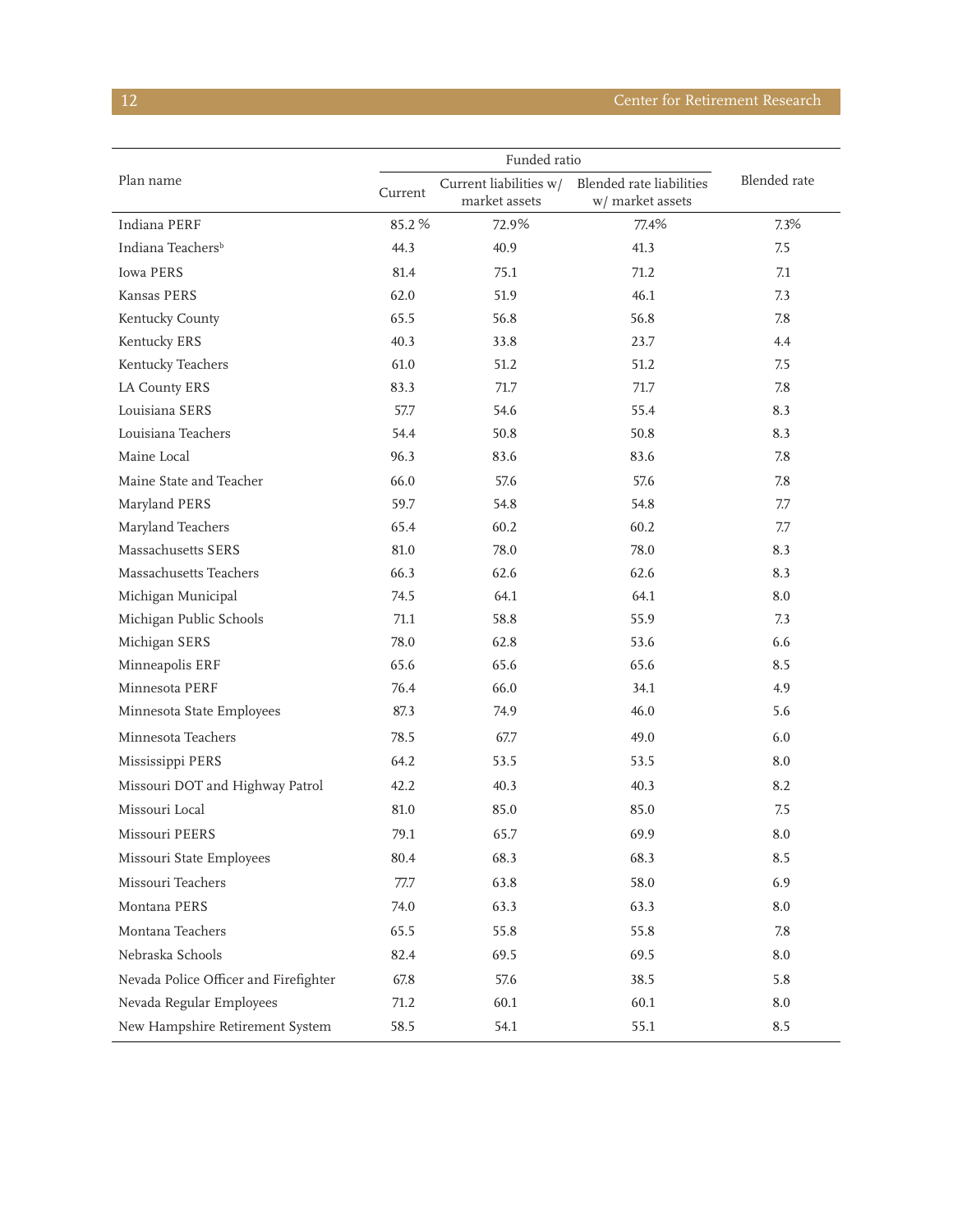## **12** Center for Retirement Research

| Plan name                             | Funded ratio |                                         |                                              |              |
|---------------------------------------|--------------|-----------------------------------------|----------------------------------------------|--------------|
|                                       | Current      | Current liabilities w/<br>market assets | Blended rate liabilities<br>w/ market assets | Blended rate |
| Indiana PERF                          | 85.2%        | 72.9%                                   | 77.4%                                        | 7.3%         |
| Indiana Teachers <sup>b</sup>         | 44.3         | 40.9                                    | 41.3                                         | 7.5          |
| <b>Iowa PERS</b>                      | 81.4         | 75.1                                    | 71.2                                         | 7.1          |
| Kansas PERS                           | 62.0         | 51.9                                    | 46.1                                         | 7.3          |
| Kentucky County                       | 65.5         | 56.8                                    | 56.8                                         | 7.8          |
| Kentucky ERS                          | 40.3         | 33.8                                    | 23.7                                         | 4.4          |
| Kentucky Teachers                     | 61.0         | 51.2                                    | 51.2                                         | 7.5          |
| <b>LA County ERS</b>                  | 83.3         | 71.7                                    | 71.7                                         | 7.8          |
| Louisiana SERS                        | 57.7         | 54.6                                    | 55.4                                         | 8.3          |
| Louisiana Teachers                    | 54.4         | 50.8                                    | 50.8                                         | 8.3          |
| Maine Local                           | 96.3         | 83.6                                    | 83.6                                         | 7.8          |
| Maine State and Teacher               | 66.0         | 57.6                                    | 57.6                                         | 7.8          |
| Maryland PERS                         | 59.7         | 54.8                                    | 54.8                                         | 7.7          |
| Maryland Teachers                     | 65.4         | 60.2                                    | 60.2                                         | 7.7          |
| Massachusetts SERS                    | 81.0         | 78.0                                    | 78.0                                         | 8.3          |
| Massachusetts Teachers                | 66.3         | 62.6                                    | 62.6                                         | 8.3          |
| Michigan Municipal                    | 74.5         | 64.1                                    | 64.1                                         | 8.0          |
| Michigan Public Schools               | 71.1         | 58.8                                    | 55.9                                         | 7.3          |
| Michigan SERS                         | 78.0         | 62.8                                    | 53.6                                         | 6.6          |
| Minneapolis ERF                       | 65.6         | 65.6                                    | 65.6                                         | 8.5          |
| Minnesota PERF                        | 76.4         | 66.0                                    | 34.1                                         | 4.9          |
| Minnesota State Employees             | 87.3         | 74.9                                    | 46.0                                         | 5.6          |
| Minnesota Teachers                    | 78.5         | 67.7                                    | 49.0                                         | 6.0          |
| Mississippi PERS                      | 64.2         | 53.5                                    | 53.5                                         | 8.0          |
| Missouri DOT and Highway Patrol       | 42.2         | 40.3                                    | 40.3                                         | 8.2          |
| Missouri Local                        | 81.0         | 85.0                                    | 85.0                                         | 7.5          |
| Missouri PEERS                        | 79.1         | 65.7                                    | 69.9                                         | 8.0          |
| Missouri State Employees              | 80.4         | 68.3                                    | 68.3                                         | 8.5          |
| Missouri Teachers                     | 77.7         | 63.8                                    | 58.0                                         | 6.9          |
| Montana PERS                          | 74.0         | 63.3                                    | 63.3                                         | 8.0          |
| Montana Teachers                      | 65.5         | 55.8                                    | 55.8                                         | 7.8          |
| Nebraska Schools                      | 82.4         | 69.5                                    | 69.5                                         | 8.0          |
| Nevada Police Officer and Firefighter | 67.8         | 57.6                                    | 38.5                                         | 5.8          |
| Nevada Regular Employees              | 71.2         | 60.1                                    | 60.1                                         | 8.0          |
| New Hampshire Retirement System       | 58.5         | 54.1                                    | 55.1                                         | 8.5          |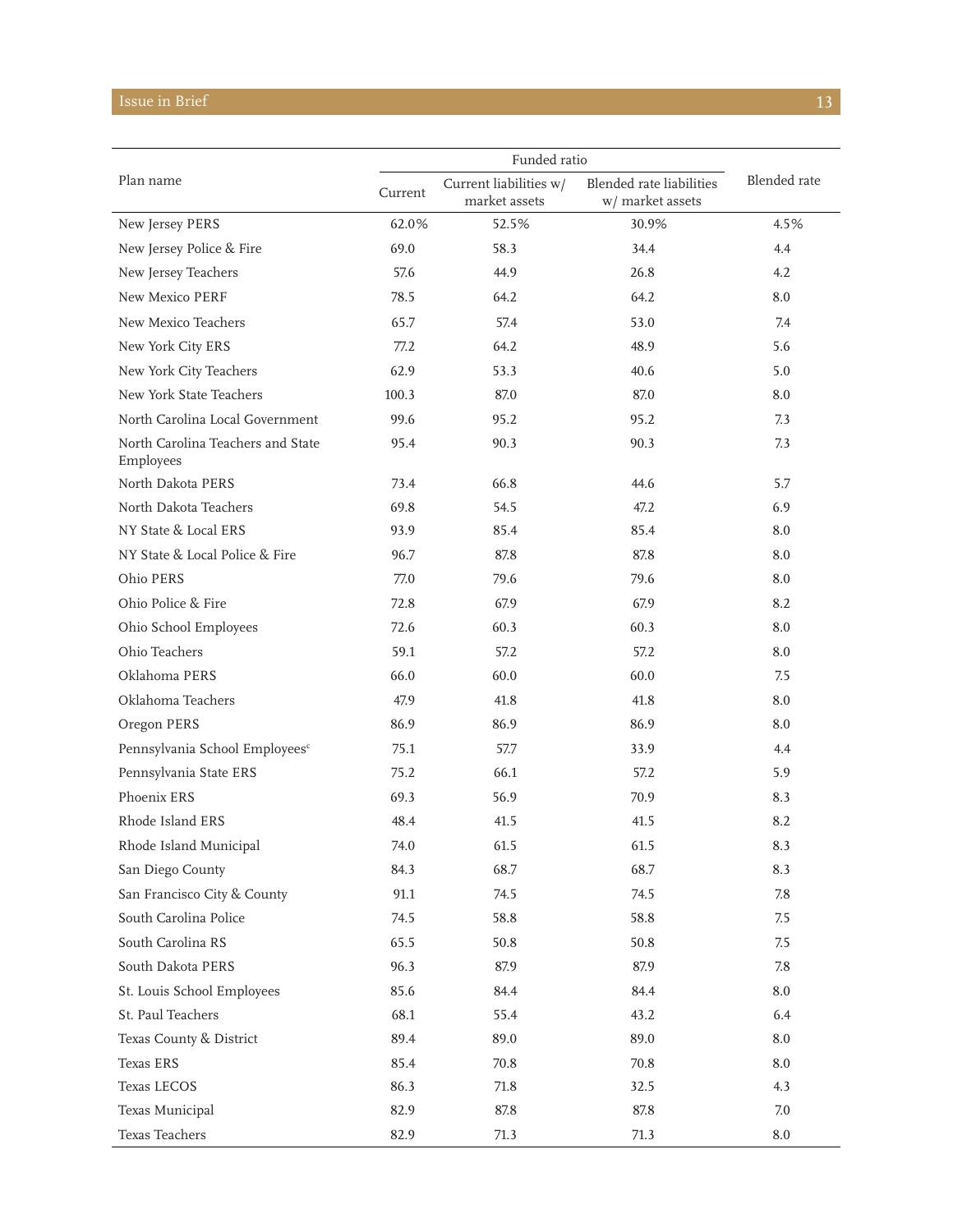## **Issue in Brief** 13 and 2012 13 and 2013 13 and 2014 13 and 2014 13 and 2014 13 and 2014 13 and 2014 13 and 2014 13 and 2014 13 and 2014 13 and 2014 13 and 2014 13 and 2014 13 and 2014 13 and 2014 13 and 2014 13 and 2014 1

| Plan name                                      |         |                                         |                                              |              |
|------------------------------------------------|---------|-----------------------------------------|----------------------------------------------|--------------|
|                                                | Current | Current liabilities w/<br>market assets | Blended rate liabilities<br>w/ market assets | Blended rate |
| New Jersey PERS                                | 62.0%   | 52.5%                                   | 30.9%                                        | 4.5%         |
| New Jersey Police & Fire                       | 69.0    | 58.3                                    | 34.4                                         | 4.4          |
| New Jersey Teachers                            | 57.6    | 44.9                                    | 26.8                                         | 4.2          |
| New Mexico PERF                                | 78.5    | 64.2                                    | 64.2                                         | 8.0          |
| New Mexico Teachers                            | 65.7    | 57.4                                    | 53.0                                         | 7.4          |
| New York City ERS                              | 77.2    | 64.2                                    | 48.9                                         | 5.6          |
| New York City Teachers                         | 62.9    | 53.3                                    | 40.6                                         | 5.0          |
| New York State Teachers                        | 100.3   | 87.0                                    | 87.0                                         | 8.0          |
| North Carolina Local Government                | 99.6    | 95.2                                    | 95.2                                         | 7.3          |
| North Carolina Teachers and State<br>Employees | 95.4    | 90.3                                    | 90.3                                         | 7.3          |
| North Dakota PERS                              | 73.4    | 66.8                                    | 44.6                                         | 5.7          |
| North Dakota Teachers                          | 69.8    | 54.5                                    | 47.2                                         | 6.9          |
| NY State & Local ERS                           | 93.9    | 85.4                                    | 85.4                                         | 8.0          |
| NY State & Local Police & Fire                 | 96.7    | 87.8                                    | 87.8                                         | 8.0          |
| Ohio PERS                                      | 77.0    | 79.6                                    | 79.6                                         | 8.0          |
| Ohio Police & Fire                             | 72.8    | 67.9                                    | 67.9                                         | 8.2          |
| Ohio School Employees                          | 72.6    | 60.3                                    | 60.3                                         | 8.0          |
| Ohio Teachers                                  | 59.1    | 57.2                                    | 57.2                                         | 8.0          |
| Oklahoma PERS                                  | 66.0    | 60.0                                    | 60.0                                         | 7.5          |
| Oklahoma Teachers                              | 47.9    | 41.8                                    | 41.8                                         | 8.0          |
| Oregon PERS                                    | 86.9    | 86.9                                    | 86.9                                         | 8.0          |
| Pennsylvania School Employees <sup>c</sup>     | 75.1    | 57.7                                    | 33.9                                         | 4.4          |
| Pennsylvania State ERS                         | 75.2    | 66.1                                    | 57.2                                         | 5.9          |
| Phoenix ERS                                    | 69.3    | 56.9                                    | 70.9                                         | 8.3          |
| Rhode Island ERS                               | 48.4    | 41.5                                    | 41.5                                         | 8.2          |
| Rhode Island Municipal                         | 74.0    | 61.5                                    | 61.5                                         | 8.3          |
| San Diego County                               | 84.3    | 68.7                                    | 68.7                                         | 8.3          |
| San Francisco City & County                    | 91.1    | 74.5                                    | 74.5                                         | 7.8          |
| South Carolina Police                          | 74.5    | 58.8                                    | 58.8                                         | 7.5          |
| South Carolina RS                              | 65.5    | 50.8                                    | 50.8                                         | 7.5          |
| South Dakota PERS                              | 96.3    | 87.9                                    | 87.9                                         | 7.8          |
| St. Louis School Employees                     | 85.6    | 84.4                                    | 84.4                                         | $8.0\,$      |
| St. Paul Teachers                              | 68.1    | 55.4                                    | 43.2                                         | 6.4          |
| Texas County & District                        | 89.4    | 89.0                                    | 89.0                                         | 8.0          |
| Texas ERS                                      | 85.4    | 70.8                                    | 70.8                                         | $8.0\,$      |
| Texas LECOS                                    | 86.3    | $71.8\,$                                | 32.5                                         | 4.3          |
| Texas Municipal                                | 82.9    | 87.8                                    | 87.8                                         | 7.0          |
| Texas Teachers                                 | 82.9    | 71.3                                    | 71.3                                         | $8.0\,$      |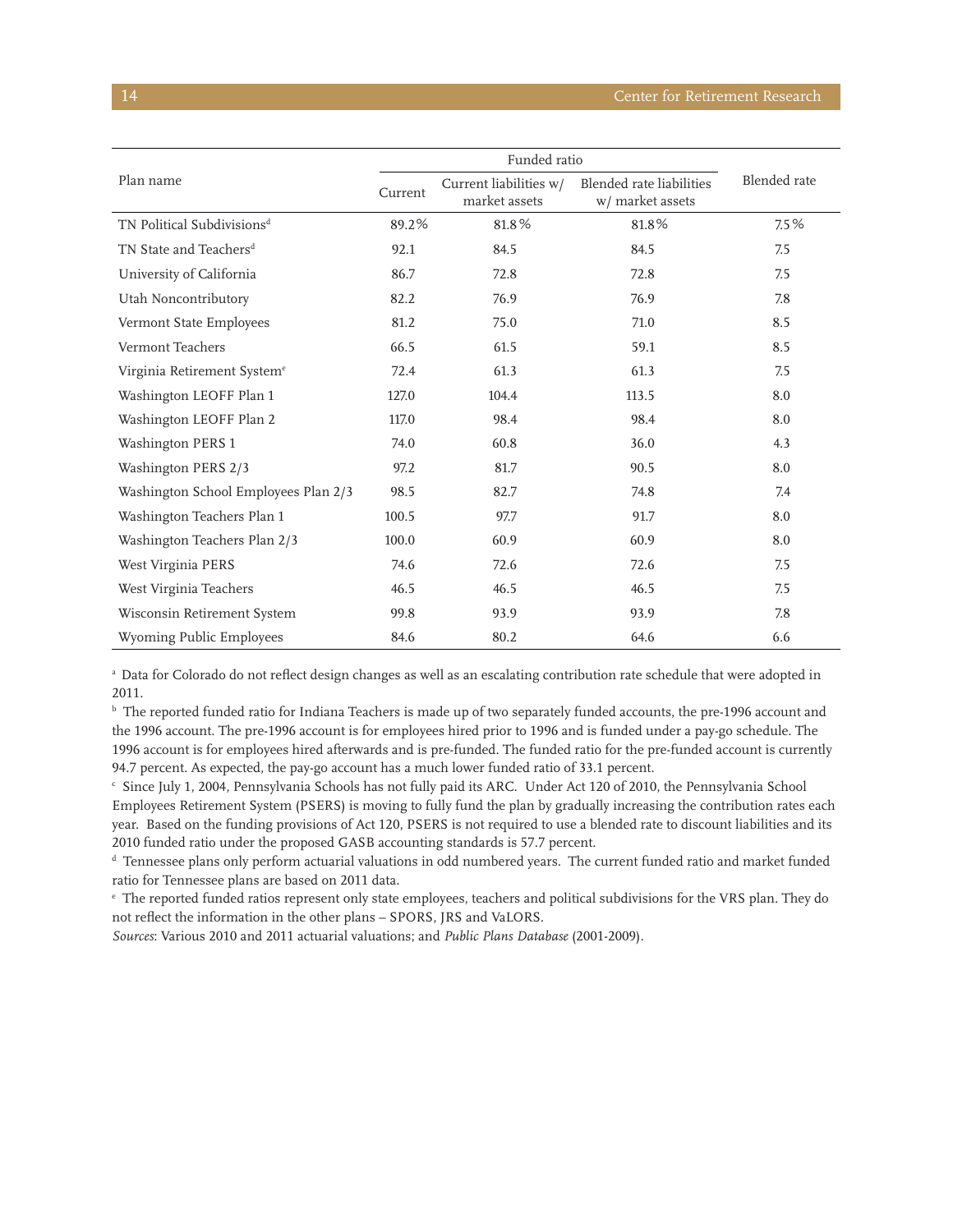| Plan name                               | Funded ratio |                                         |                                              |              |
|-----------------------------------------|--------------|-----------------------------------------|----------------------------------------------|--------------|
|                                         | Current      | Current liabilities w/<br>market assets | Blended rate liabilities<br>w/ market assets | Blended rate |
| TN Political Subdivisions <sup>d</sup>  | 89.2%        | 81.8%                                   | 81.8%                                        | 7.5%         |
| TN State and Teachers <sup>d</sup>      | 92.1         | 84.5                                    | 84.5                                         | 7.5          |
| University of California                | 86.7         | 72.8                                    | 72.8                                         | 7.5          |
| Utah Noncontributory                    | 82.2         | 76.9                                    | 76.9                                         | 7.8          |
| Vermont State Employees                 | 81.2         | 75.0                                    | 71.0                                         | 8.5          |
| Vermont Teachers                        | 66.5         | 61.5                                    | 59.1                                         | 8.5          |
| Virginia Retirement System <sup>e</sup> | 72.4         | 61.3                                    | 61.3                                         | 7.5          |
| Washington LEOFF Plan 1                 | 127.0        | 104.4                                   | 113.5                                        | 8.0          |
| Washington LEOFF Plan 2                 | 117.0        | 98.4                                    | 98.4                                         | 8.0          |
| Washington PERS 1                       | 74.0         | 60.8                                    | 36.0                                         | 4.3          |
| Washington PERS 2/3                     | 97.2         | 81.7                                    | 90.5                                         | 8.0          |
| Washington School Employees Plan 2/3    | 98.5         | 82.7                                    | 74.8                                         | 7.4          |
| Washington Teachers Plan 1              | 100.5        | 97.7                                    | 91.7                                         | 8.0          |
| Washington Teachers Plan 2/3            | 100.0        | 60.9                                    | 60.9                                         | 8.0          |
| West Virginia PERS                      | 74.6         | 72.6                                    | 72.6                                         | 7.5          |
| West Virginia Teachers                  | 46.5         | 46.5                                    | 46.5                                         | 7.5          |
| Wisconsin Retirement System             | 99.8         | 93.9                                    | 93.9                                         | 7.8          |
| Wyoming Public Employees                | 84.6         | 80.2                                    | 64.6                                         | 6.6          |

a Data for Colorado do not reflect design changes as well as an escalating contribution rate schedule that were adopted in 2011.

b The reported funded ratio for Indiana Teachers is made up of two separately funded accounts, the pre-1996 account and the 1996 account. The pre-1996 account is for employees hired prior to 1996 and is funded under a pay-go schedule. The 1996 account is for employees hired afterwards and is pre-funded. The funded ratio for the pre-funded account is currently 94.7 percent. As expected, the pay-go account has a much lower funded ratio of 33.1 percent.

c Since July 1, 2004, Pennsylvania Schools has not fully paid its ARC. Under Act 120 of 2010, the Pennsylvania School Employees Retirement System (PSERS) is moving to fully fund the plan by gradually increasing the contribution rates each year. Based on the funding provisions of Act 120, PSERS is not required to use a blended rate to discount liabilities and its 2010 funded ratio under the proposed GASB accounting standards is 57.7 percent.

d Tennessee plans only perform actuarial valuations in odd numbered years. The current funded ratio and market funded ratio for Tennessee plans are based on 2011 data.

e The reported funded ratios represent only state employees, teachers and political subdivisions for the VRS plan. They do not reflect the information in the other plans – SPORS, JRS and VaLORS.

*Sources*: Various 2010 and 2011 actuarial valuations; and *Public Plans Database* (2001-2009).